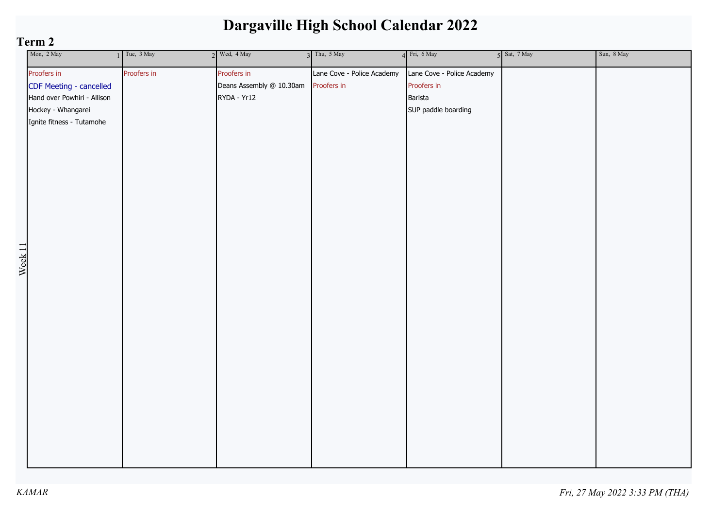| Mon, 2 May                     | Tue, 3 May  | $2$ Wed, $4$ May         | $3$ Thu, $5$ May           | $4$ Fri, 6 May             | $5$ Sat, $7$ May | Sun, 8 May |
|--------------------------------|-------------|--------------------------|----------------------------|----------------------------|------------------|------------|
| Proofers in                    | Proofers in | Proofers in              | Lane Cove - Police Academy | Lane Cove - Police Academy |                  |            |
| CDF Meeting - cancelled        |             | Deans Assembly @ 10.30am | Proofers in                | Proofers in                |                  |            |
| Hand over Powhiri - Allison    |             | RYDA - Yr12              |                            | Barista                    |                  |            |
| Hockey - Whangarei             |             |                          |                            | SUP paddle boarding        |                  |            |
| Ignite fitness - Tutamohe      |             |                          |                            |                            |                  |            |
|                                |             |                          |                            |                            |                  |            |
|                                |             |                          |                            |                            |                  |            |
|                                |             |                          |                            |                            |                  |            |
|                                |             |                          |                            |                            |                  |            |
|                                |             |                          |                            |                            |                  |            |
|                                |             |                          |                            |                            |                  |            |
|                                |             |                          |                            |                            |                  |            |
|                                |             |                          |                            |                            |                  |            |
|                                |             |                          |                            |                            |                  |            |
|                                |             |                          |                            |                            |                  |            |
|                                |             |                          |                            |                            |                  |            |
|                                |             |                          |                            |                            |                  |            |
| $\frac{\text{West}}{\text{1}}$ |             |                          |                            |                            |                  |            |
|                                |             |                          |                            |                            |                  |            |
|                                |             |                          |                            |                            |                  |            |
|                                |             |                          |                            |                            |                  |            |
|                                |             |                          |                            |                            |                  |            |
|                                |             |                          |                            |                            |                  |            |
|                                |             |                          |                            |                            |                  |            |
|                                |             |                          |                            |                            |                  |            |
|                                |             |                          |                            |                            |                  |            |
|                                |             |                          |                            |                            |                  |            |
|                                |             |                          |                            |                            |                  |            |
|                                |             |                          |                            |                            |                  |            |
|                                |             |                          |                            |                            |                  |            |
|                                |             |                          |                            |                            |                  |            |
|                                |             |                          |                            |                            |                  |            |
|                                |             |                          |                            |                            |                  |            |
|                                |             |                          |                            |                            |                  |            |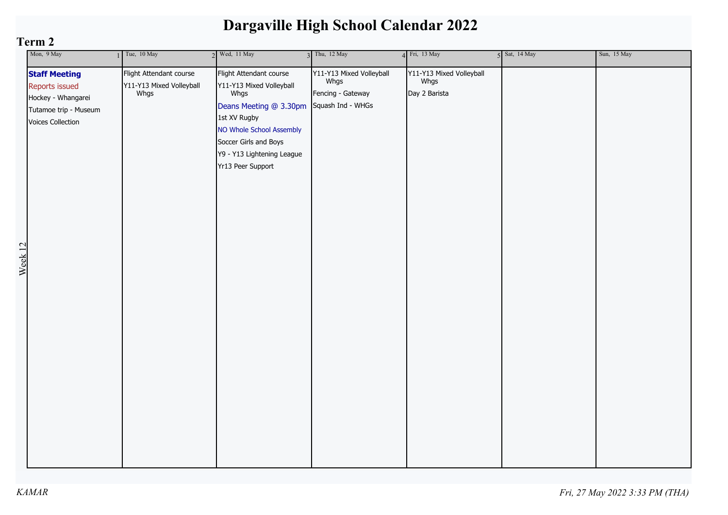|                    | Mon, 9 May                                                                                                 | $1$ Tue, 10 May                                             | $2$ Wed, 11 May                                                                                                                                                                                               | $3$ Thu, 12 May                                                            | 4 Fri, 13 May                                     | 5 Sat, 14 May | Sun, 15 May |
|--------------------|------------------------------------------------------------------------------------------------------------|-------------------------------------------------------------|---------------------------------------------------------------------------------------------------------------------------------------------------------------------------------------------------------------|----------------------------------------------------------------------------|---------------------------------------------------|---------------|-------------|
| Week <sub>12</sub> | <b>Staff Meeting</b><br>Reports issued<br>Hockey - Whangarei<br>Tutamoe trip - Museum<br>Voices Collection | Flight Attendant course<br>Y11-Y13 Mixed Volleyball<br>Whgs | Flight Attendant course<br>Y11-Y13 Mixed Volleyball<br>Whgs<br>Deans Meeting @ 3.30pm<br>1st XV Rugby<br>NO Whole School Assembly<br>Soccer Girls and Boys<br>Y9 - Y13 Lightening League<br>Yr13 Peer Support | Y11-Y13 Mixed Volleyball<br>Whgs<br>Fencing - Gateway<br>Squash Ind - WHGs | Y11-Y13 Mixed Volleyball<br>Whgs<br>Day 2 Barista |               |             |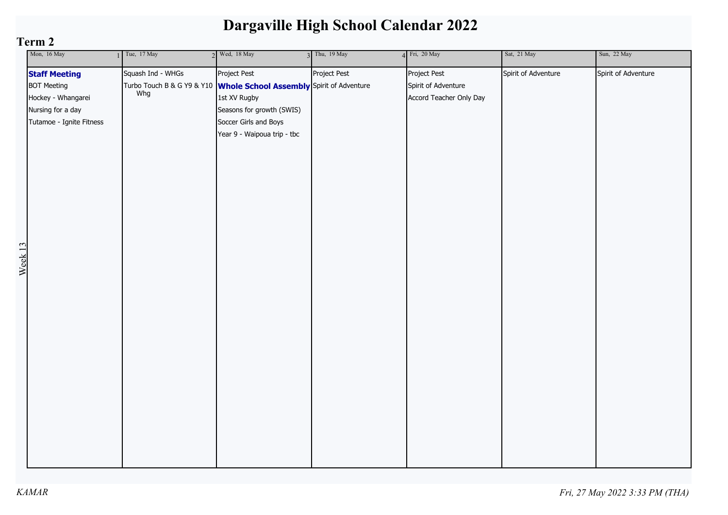| Project Pest<br>Project Pest<br>Project Pest<br>Squash Ind - WHGs<br>Spirit of Adventure<br><b>Staff Meeting</b>                                                                                                                                                                                                                                             |                     |
|--------------------------------------------------------------------------------------------------------------------------------------------------------------------------------------------------------------------------------------------------------------------------------------------------------------------------------------------------------------|---------------------|
| <b>BOT Meeting</b><br>Turbo Touch B & G Y9 & Y10 <b>Whole School Assembly</b> Spirit of Adventure<br>Spirit of Adventure<br>Whg<br>Hockey - Whangarei<br>1st XV Rugby<br>Accord Teacher Only Day<br>Nursing for a day<br>Seasons for growth (SWIS)<br>Tutamoe - Ignite Fitness<br>Soccer Girls and Boys<br>Year 9 - Waipoua trip - tbc<br>Week <sub>13</sub> | Spirit of Adventure |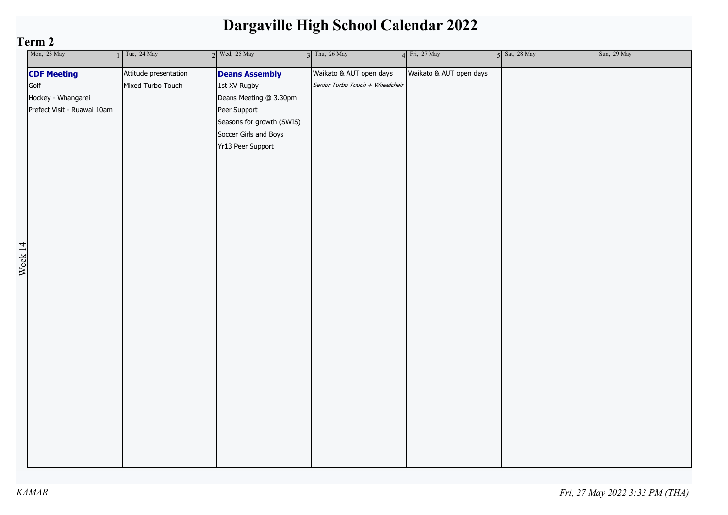| Mon, 23 May                 | Tue, 24 May           | $2$ Wed, $25$ May         | $3$ Thu, 26 May                 | 4 Fri, 27 May           | 5 Sat, 28 May | Sun, 29 May |
|-----------------------------|-----------------------|---------------------------|---------------------------------|-------------------------|---------------|-------------|
| <b>CDF Meeting</b>          | Attitude presentation | <b>Deans Assembly</b>     | Waikato & AUT open days         | Waikato & AUT open days |               |             |
| Golf                        | Mixed Turbo Touch     | 1st XV Rugby              | Senior Turbo Touch + Wheelchair |                         |               |             |
| Hockey - Whangarei          |                       | Deans Meeting @ 3.30pm    |                                 |                         |               |             |
| Prefect Visit - Ruawai 10am |                       | Peer Support              |                                 |                         |               |             |
|                             |                       | Seasons for growth (SWIS) |                                 |                         |               |             |
|                             |                       | Soccer Girls and Boys     |                                 |                         |               |             |
|                             |                       | Yr13 Peer Support         |                                 |                         |               |             |
|                             |                       |                           |                                 |                         |               |             |
|                             |                       |                           |                                 |                         |               |             |
|                             |                       |                           |                                 |                         |               |             |
|                             |                       |                           |                                 |                         |               |             |
|                             |                       |                           |                                 |                         |               |             |
|                             |                       |                           |                                 |                         |               |             |
|                             |                       |                           |                                 |                         |               |             |
| Week <sub>14</sub>          |                       |                           |                                 |                         |               |             |
|                             |                       |                           |                                 |                         |               |             |
|                             |                       |                           |                                 |                         |               |             |
|                             |                       |                           |                                 |                         |               |             |
|                             |                       |                           |                                 |                         |               |             |
|                             |                       |                           |                                 |                         |               |             |
|                             |                       |                           |                                 |                         |               |             |
|                             |                       |                           |                                 |                         |               |             |
|                             |                       |                           |                                 |                         |               |             |
|                             |                       |                           |                                 |                         |               |             |
|                             |                       |                           |                                 |                         |               |             |
|                             |                       |                           |                                 |                         |               |             |
|                             |                       |                           |                                 |                         |               |             |
|                             |                       |                           |                                 |                         |               |             |
|                             |                       |                           |                                 |                         |               |             |
|                             |                       |                           |                                 |                         |               |             |
|                             |                       |                           |                                 |                         |               |             |
|                             |                       |                           |                                 |                         |               |             |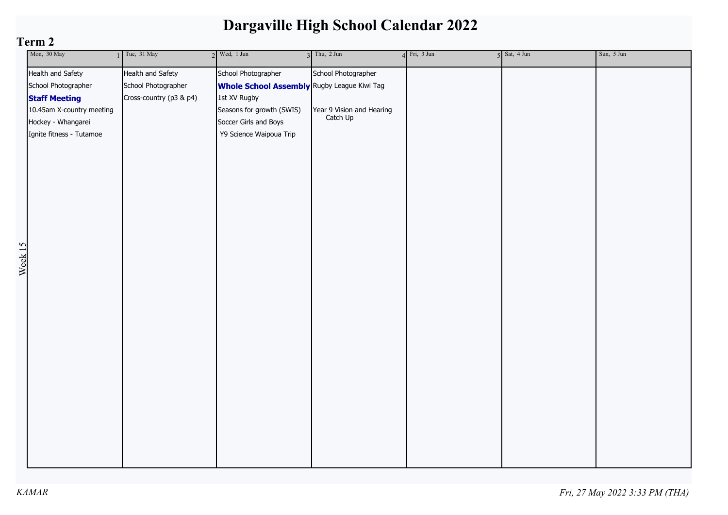|                    | Mon, 30 May               | $1$ Tue, 31 May         | $2$ Wed, 1 Jun                                     | $3$ Thu, $2$ Jun          | $4$ Fri, 3 Jun | $5$ Sat, $4$ Jun | Sun, 5 Jun |
|--------------------|---------------------------|-------------------------|----------------------------------------------------|---------------------------|----------------|------------------|------------|
|                    | Health and Safety         | Health and Safety       | School Photographer                                | School Photographer       |                |                  |            |
|                    | School Photographer       | School Photographer     | <b>Whole School Assembly</b> Rugby League Kiwi Tag |                           |                |                  |            |
|                    | <b>Staff Meeting</b>      | Cross-country (p3 & p4) | 1st XV Rugby                                       |                           |                |                  |            |
|                    | 10.45am X-country meeting |                         | Seasons for growth (SWIS)                          | Year 9 Vision and Hearing |                |                  |            |
|                    | Hockey - Whangarei        |                         | Soccer Girls and Boys                              | Catch Up                  |                |                  |            |
|                    | Ignite fitness - Tutamoe  |                         | Y9 Science Waipoua Trip                            |                           |                |                  |            |
|                    |                           |                         |                                                    |                           |                |                  |            |
|                    |                           |                         |                                                    |                           |                |                  |            |
|                    |                           |                         |                                                    |                           |                |                  |            |
|                    |                           |                         |                                                    |                           |                |                  |            |
|                    |                           |                         |                                                    |                           |                |                  |            |
|                    |                           |                         |                                                    |                           |                |                  |            |
|                    |                           |                         |                                                    |                           |                |                  |            |
|                    |                           |                         |                                                    |                           |                |                  |            |
|                    |                           |                         |                                                    |                           |                |                  |            |
|                    |                           |                         |                                                    |                           |                |                  |            |
| Week <sub>15</sub> |                           |                         |                                                    |                           |                |                  |            |
|                    |                           |                         |                                                    |                           |                |                  |            |
|                    |                           |                         |                                                    |                           |                |                  |            |
|                    |                           |                         |                                                    |                           |                |                  |            |
|                    |                           |                         |                                                    |                           |                |                  |            |
|                    |                           |                         |                                                    |                           |                |                  |            |
|                    |                           |                         |                                                    |                           |                |                  |            |
|                    |                           |                         |                                                    |                           |                |                  |            |
|                    |                           |                         |                                                    |                           |                |                  |            |
|                    |                           |                         |                                                    |                           |                |                  |            |
|                    |                           |                         |                                                    |                           |                |                  |            |
|                    |                           |                         |                                                    |                           |                |                  |            |
|                    |                           |                         |                                                    |                           |                |                  |            |
|                    |                           |                         |                                                    |                           |                |                  |            |
|                    |                           |                         |                                                    |                           |                |                  |            |
|                    |                           |                         |                                                    |                           |                |                  |            |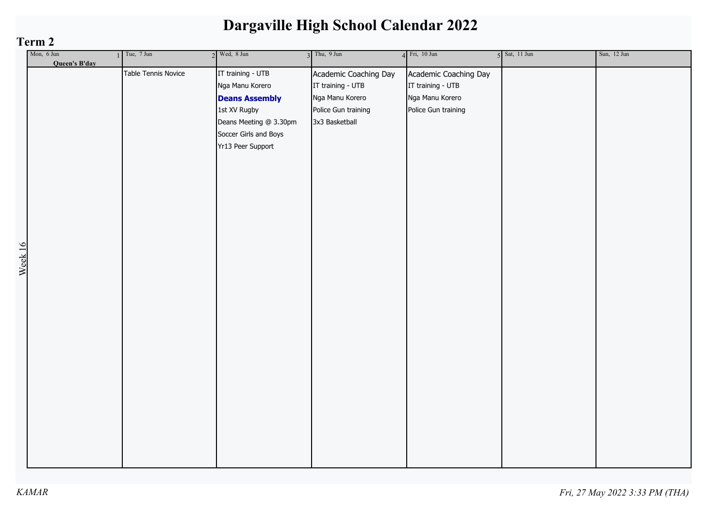|         | Term 2        |                     |                        |                       |                       |                 |             |  |  |
|---------|---------------|---------------------|------------------------|-----------------------|-----------------------|-----------------|-------------|--|--|
|         | Mon, 6 Jun    | $1$ Tue, 7 Jun      | $2$ Wed, 8 Jun         | $3$ Thu, $9$ Jun      | $4$ Fri, 10 Jun       | $5$ Sat, 11 Jun | Sun, 12 Jun |  |  |
|         | Queen's B'day |                     |                        |                       |                       |                 |             |  |  |
|         |               | Table Tennis Novice | IT training - UTB      | Academic Coaching Day | Academic Coaching Day |                 |             |  |  |
|         |               |                     | Nga Manu Korero        | IT training - UTB     | IT training - UTB     |                 |             |  |  |
|         |               |                     | <b>Deans Assembly</b>  | Nga Manu Korero       | Nga Manu Korero       |                 |             |  |  |
|         |               |                     | 1st XV Rugby           | Police Gun training   | Police Gun training   |                 |             |  |  |
|         |               |                     | Deans Meeting @ 3.30pm | 3x3 Basketball        |                       |                 |             |  |  |
|         |               |                     | Soccer Girls and Boys  |                       |                       |                 |             |  |  |
|         |               |                     | Yr13 Peer Support      |                       |                       |                 |             |  |  |
|         |               |                     |                        |                       |                       |                 |             |  |  |
|         |               |                     |                        |                       |                       |                 |             |  |  |
|         |               |                     |                        |                       |                       |                 |             |  |  |
|         |               |                     |                        |                       |                       |                 |             |  |  |
|         |               |                     |                        |                       |                       |                 |             |  |  |
|         |               |                     |                        |                       |                       |                 |             |  |  |
|         |               |                     |                        |                       |                       |                 |             |  |  |
|         |               |                     |                        |                       |                       |                 |             |  |  |
|         |               |                     |                        |                       |                       |                 |             |  |  |
| Week 16 |               |                     |                        |                       |                       |                 |             |  |  |
|         |               |                     |                        |                       |                       |                 |             |  |  |
|         |               |                     |                        |                       |                       |                 |             |  |  |
|         |               |                     |                        |                       |                       |                 |             |  |  |
|         |               |                     |                        |                       |                       |                 |             |  |  |
|         |               |                     |                        |                       |                       |                 |             |  |  |
|         |               |                     |                        |                       |                       |                 |             |  |  |
|         |               |                     |                        |                       |                       |                 |             |  |  |
|         |               |                     |                        |                       |                       |                 |             |  |  |
|         |               |                     |                        |                       |                       |                 |             |  |  |
|         |               |                     |                        |                       |                       |                 |             |  |  |
|         |               |                     |                        |                       |                       |                 |             |  |  |
|         |               |                     |                        |                       |                       |                 |             |  |  |
|         |               |                     |                        |                       |                       |                 |             |  |  |
|         |               |                     |                        |                       |                       |                 |             |  |  |
|         |               |                     |                        |                       |                       |                 |             |  |  |
|         |               |                     |                        |                       |                       |                 |             |  |  |
|         |               |                     |                        |                       |                       |                 |             |  |  |
|         |               |                     |                        |                       |                       |                 |             |  |  |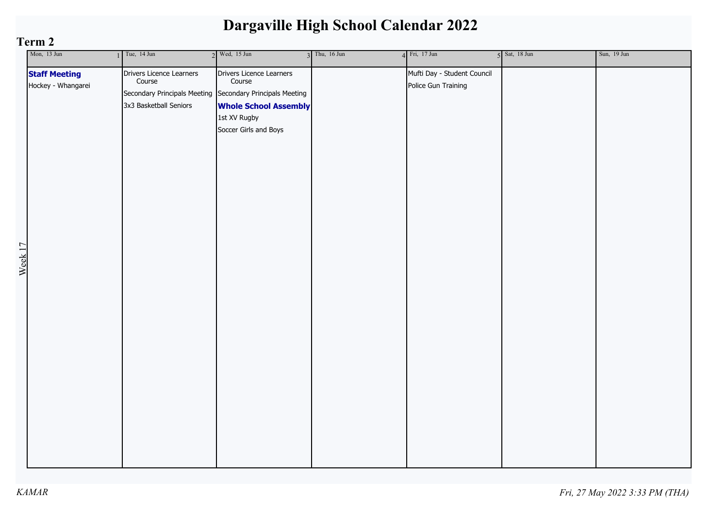| Mon, 13 Jun                                                      | $1$ Tue, 14 Jun                                                                                                           | $2$ Wed, 15 Jun                                                                                             | $3$ Thu, 16 Jun | $4$ Fri, 17 Jun                                    | $5$ Sat, 18 Jun | Sun, 19 Jun |
|------------------------------------------------------------------|---------------------------------------------------------------------------------------------------------------------------|-------------------------------------------------------------------------------------------------------------|-----------------|----------------------------------------------------|-----------------|-------------|
| <b>Staff Meeting</b><br>Hockey - Whangarei<br>Week <sub>17</sub> | Drivers Licence Learners<br>Course<br>Secondary Principals Meeting Secondary Principals Meeting<br>3x3 Basketball Seniors | Drivers Licence Learners<br>Course<br><b>Whole School Assembly</b><br>1st XV Rugby<br>Soccer Girls and Boys |                 | Mufti Day - Student Council<br>Police Gun Training |                 |             |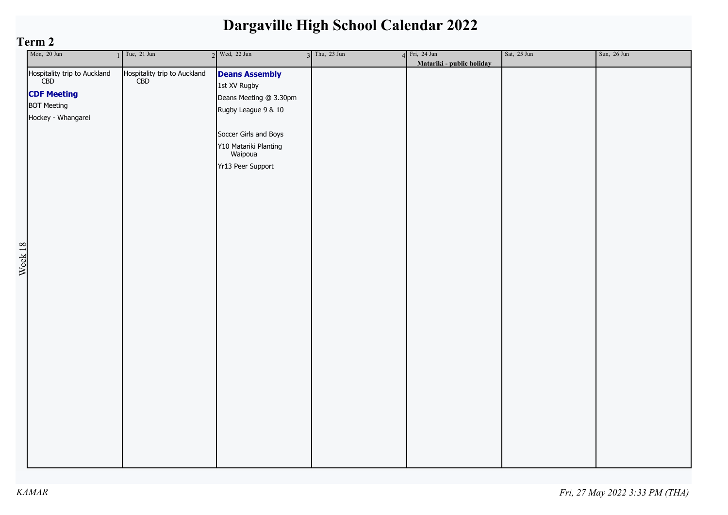| Mon, 20 Jun                                                                                                                 | Tue, 21 Jun                         | $2$ Wed, 22 Jun                                                                                                                                                          | $3$ Thu, 23 Jun | $4$ Fri, 24 Jun           | Sat, 25 Jun | Sun, 26 Jun |
|-----------------------------------------------------------------------------------------------------------------------------|-------------------------------------|--------------------------------------------------------------------------------------------------------------------------------------------------------------------------|-----------------|---------------------------|-------------|-------------|
| Hospitality trip to Auckland<br>CBD<br><b>CDF Meeting</b><br><b>BOT Meeting</b><br>Hockey - Whangarei<br>Week <sub>18</sub> | Hospitality trip to Auckland<br>CBD | <b>Deans Assembly</b><br>1st XV Rugby<br>Deans Meeting @ 3.30pm<br>Rugby League 9 & 10<br>Soccer Girls and Boys<br>Y10 Matariki Planting<br>Waipoua<br>Yr13 Peer Support |                 | Matariki - public holiday |             |             |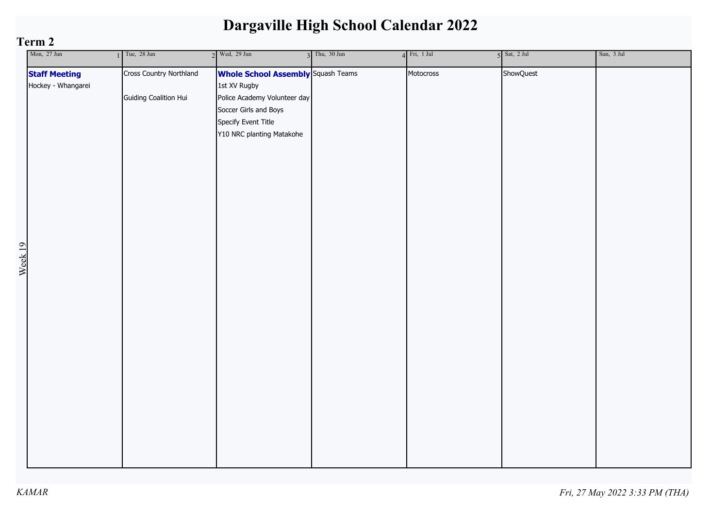| Mon, 27 Jun                                | $1$ Tue, 28 Jun                                  | $2$ Wed, 29 Jun                                                                                                                                                        | $3$ Thu, $30$ Jun | $4$ Fri, 1 Jul | $5$ Sat, 2 Jul | Sun, 3 Jul |
|--------------------------------------------|--------------------------------------------------|------------------------------------------------------------------------------------------------------------------------------------------------------------------------|-------------------|----------------|----------------|------------|
| <b>Staff Meeting</b><br>Hockey - Whangarei | Cross Country Northland<br>Guiding Coalition Hui | <b>Whole School Assembly</b> Squash Teams<br>1st XV Rugby<br>Police Academy Volunteer day<br>Soccer Girls and Boys<br>Specify Event Title<br>Y10 NRC planting Matakohe |                   | Motocross      | ShowQuest      |            |
|                                            |                                                  |                                                                                                                                                                        |                   |                |                |            |
| Week 19                                    |                                                  |                                                                                                                                                                        |                   |                |                |            |
|                                            |                                                  |                                                                                                                                                                        |                   |                |                |            |
|                                            |                                                  |                                                                                                                                                                        |                   |                |                |            |